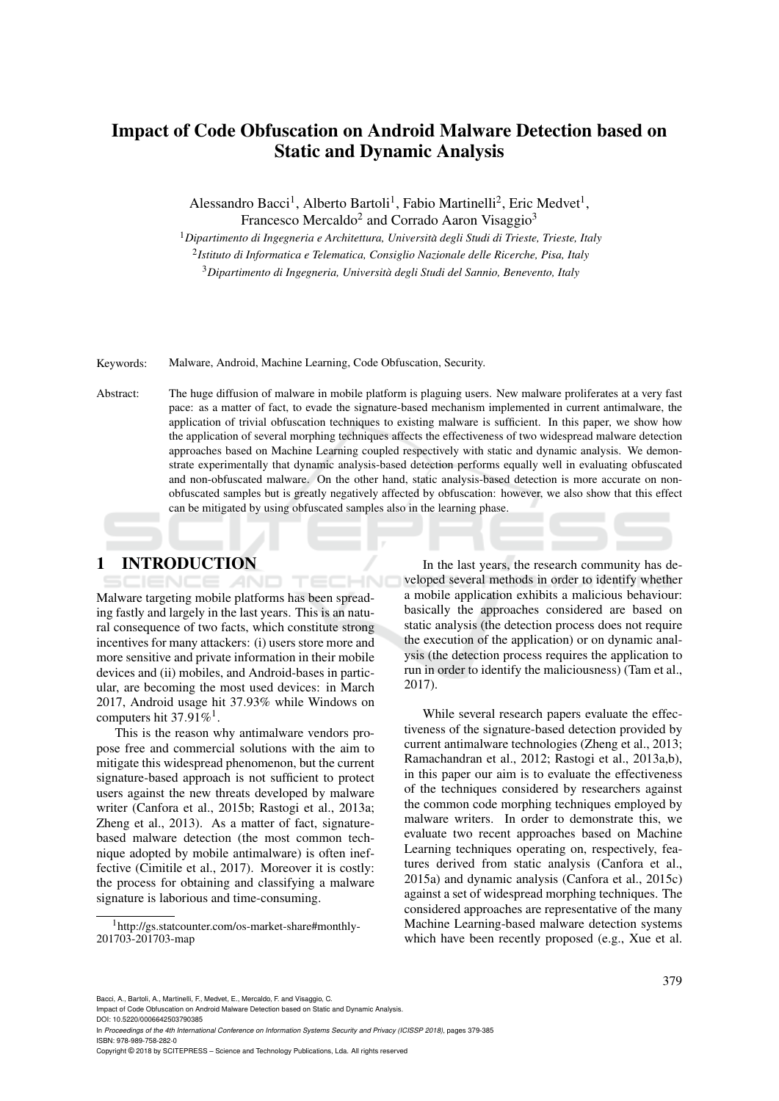# Impact of Code Obfuscation on Android Malware Detection based on Static and Dynamic Analysis

Alessandro Bacci<sup>1</sup>, Alberto Bartoli<sup>1</sup>, Fabio Martinelli<sup>2</sup>, Eric Medvet<sup>1</sup>,

Francesco Mercaldo<sup>2</sup> and Corrado Aaron Visaggio<sup>3</sup>

<sup>1</sup>*Dipartimento di Ingegneria e Architettura, Universita degli Studi di Trieste, Trieste, Italy `*

2 *Istituto di Informatica e Telematica, Consiglio Nazionale delle Ricerche, Pisa, Italy*

<sup>3</sup>*Dipartimento di Ingegneria, Universita degli Studi del Sannio, Benevento, Italy `*

Keywords: Malware, Android, Machine Learning, Code Obfuscation, Security.

Abstract: The huge diffusion of malware in mobile platform is plaguing users. New malware proliferates at a very fast pace: as a matter of fact, to evade the signature-based mechanism implemented in current antimalware, the application of trivial obfuscation techniques to existing malware is sufficient. In this paper, we show how the application of several morphing techniques affects the effectiveness of two widespread malware detection approaches based on Machine Learning coupled respectively with static and dynamic analysis. We demonstrate experimentally that dynamic analysis-based detection performs equally well in evaluating obfuscated and non-obfuscated malware. On the other hand, static analysis-based detection is more accurate on nonobfuscated samples but is greatly negatively affected by obfuscation: however, we also show that this effect can be mitigated by using obfuscated samples also in the learning phase.

## 1 INTRODUCTION

TECHNO Malware targeting mobile platforms has been spreading fastly and largely in the last years. This is an natural consequence of two facts, which constitute strong incentives for many attackers: (i) users store more and more sensitive and private information in their mobile devices and (ii) mobiles, and Android-bases in particular, are becoming the most used devices: in March 2017, Android usage hit 37.93% while Windows on computers hit 37.91%<sup>1</sup>.

AND

This is the reason why antimalware vendors propose free and commercial solutions with the aim to mitigate this widespread phenomenon, but the current signature-based approach is not sufficient to protect users against the new threats developed by malware writer (Canfora et al., 2015b; Rastogi et al., 2013a; Zheng et al., 2013). As a matter of fact, signaturebased malware detection (the most common technique adopted by mobile antimalware) is often ineffective (Cimitile et al., 2017). Moreover it is costly: the process for obtaining and classifying a malware signature is laborious and time-consuming.

In the last years, the research community has developed several methods in order to identify whether a mobile application exhibits a malicious behaviour: basically the approaches considered are based on static analysis (the detection process does not require the execution of the application) or on dynamic analysis (the detection process requires the application to run in order to identify the maliciousness) (Tam et al., 2017).

While several research papers evaluate the effectiveness of the signature-based detection provided by current antimalware technologies (Zheng et al., 2013; Ramachandran et al., 2012; Rastogi et al., 2013a,b), in this paper our aim is to evaluate the effectiveness of the techniques considered by researchers against the common code morphing techniques employed by malware writers. In order to demonstrate this, we evaluate two recent approaches based on Machine Learning techniques operating on, respectively, features derived from static analysis (Canfora et al., 2015a) and dynamic analysis (Canfora et al., 2015c) against a set of widespread morphing techniques. The considered approaches are representative of the many Machine Learning-based malware detection systems which have been recently proposed (e.g., Xue et al.

Bacci, A., Bartoli, A., Martinelli, F., Medvet, E., Mercaldo, F. and Visaggio, C.

Impact of Code Obfuscation on Android Malware Detection based on Static and Dynamic Analysis. DOI: 10.5220/0006642503790385

In *Proceedings of the 4th International Conference on Information Systems Security and Privacy (ICISSP 2018)*, pages 379-385 ISBN: 978-989-758-282-0

<sup>1</sup>http://gs.statcounter.com/os-market-share#monthly-201703-201703-map

Copyright © 2018 by SCITEPRESS – Science and Technology Publications, Lda. All rights reserved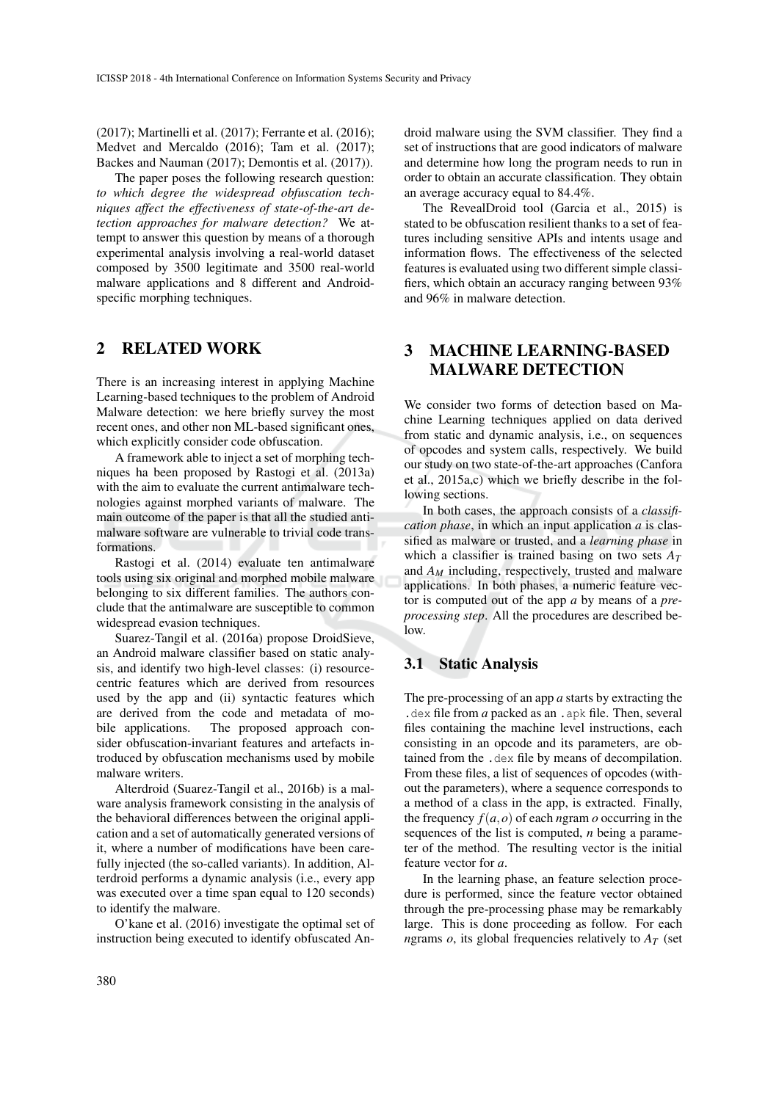(2017); Martinelli et al. (2017); Ferrante et al. (2016); Medvet and Mercaldo (2016); Tam et al. (2017); Backes and Nauman (2017); Demontis et al. (2017)).

The paper poses the following research question: *to which degree the widespread obfuscation techniques affect the effectiveness of state-of-the-art detection approaches for malware detection?* We attempt to answer this question by means of a thorough experimental analysis involving a real-world dataset composed by 3500 legitimate and 3500 real-world malware applications and 8 different and Androidspecific morphing techniques.

### 2 RELATED WORK

There is an increasing interest in applying Machine Learning-based techniques to the problem of Android Malware detection: we here briefly survey the most recent ones, and other non ML-based significant ones, which explicitly consider code obfuscation.

A framework able to inject a set of morphing techniques ha been proposed by Rastogi et al. (2013a) with the aim to evaluate the current antimalware technologies against morphed variants of malware. The main outcome of the paper is that all the studied antimalware software are vulnerable to trivial code transformations.

Rastogi et al. (2014) evaluate ten antimalware tools using six original and morphed mobile malware belonging to six different families. The authors conclude that the antimalware are susceptible to common widespread evasion techniques.

Suarez-Tangil et al. (2016a) propose DroidSieve, an Android malware classifier based on static analysis, and identify two high-level classes: (i) resourcecentric features which are derived from resources used by the app and (ii) syntactic features which are derived from the code and metadata of mobile applications. The proposed approach consider obfuscation-invariant features and artefacts introduced by obfuscation mechanisms used by mobile malware writers.

Alterdroid (Suarez-Tangil et al., 2016b) is a malware analysis framework consisting in the analysis of the behavioral differences between the original application and a set of automatically generated versions of it, where a number of modifications have been carefully injected (the so-called variants). In addition, Alterdroid performs a dynamic analysis (i.e., every app was executed over a time span equal to 120 seconds) to identify the malware.

O'kane et al. (2016) investigate the optimal set of instruction being executed to identify obfuscated Android malware using the SVM classifier. They find a set of instructions that are good indicators of malware and determine how long the program needs to run in order to obtain an accurate classification. They obtain an average accuracy equal to 84.4%.

The RevealDroid tool (Garcia et al., 2015) is stated to be obfuscation resilient thanks to a set of features including sensitive APIs and intents usage and information flows. The effectiveness of the selected features is evaluated using two different simple classifiers, which obtain an accuracy ranging between 93% and 96% in malware detection.

## 3 MACHINE LEARNING-BASED MALWARE DETECTION

We consider two forms of detection based on Machine Learning techniques applied on data derived from static and dynamic analysis, i.e., on sequences of opcodes and system calls, respectively. We build our study on two state-of-the-art approaches (Canfora et al., 2015a,c) which we briefly describe in the following sections.

In both cases, the approach consists of a *classification phase*, in which an input application *a* is classified as malware or trusted, and a *learning phase* in which a classifier is trained basing on two sets  $A_T$ and *A<sup>M</sup>* including, respectively, trusted and malware applications. In both phases, a numeric feature vector is computed out of the app *a* by means of a *preprocessing step*. All the procedures are described be $low$ 

### 3.1 Static Analysis

The pre-processing of an app *a* starts by extracting the .dex file from *a* packed as an .apk file. Then, several files containing the machine level instructions, each consisting in an opcode and its parameters, are obtained from the .dex file by means of decompilation. From these files, a list of sequences of opcodes (without the parameters), where a sequence corresponds to a method of a class in the app, is extracted. Finally, the frequency  $f(a, o)$  of each *n*gram *o* occurring in the sequences of the list is computed, *n* being a parameter of the method. The resulting vector is the initial feature vector for *a*.

In the learning phase, an feature selection procedure is performed, since the feature vector obtained through the pre-processing phase may be remarkably large. This is done proceeding as follow. For each *ngrams o, its global frequencies relatively to*  $A_T$  *(set*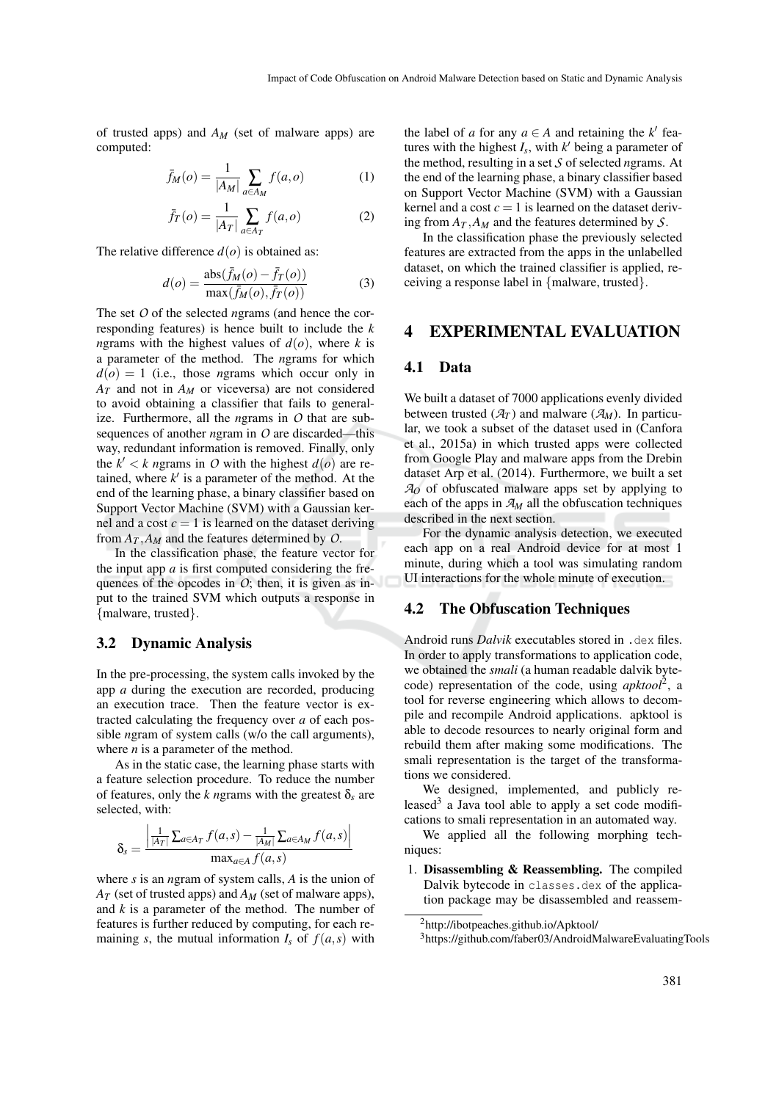of trusted apps) and *A<sup>M</sup>* (set of malware apps) are computed:

$$
\bar{f}_M(o) = \frac{1}{|A_M|} \sum_{a \in A_M} f(a, o) \tag{1}
$$

$$
\bar{f}_T(o) = \frac{1}{|A_T|} \sum_{a \in A_T} f(a, o) \tag{2}
$$

The relative difference  $d(o)$  is obtained as:

$$
d(o) = \frac{\text{abs}(\bar{f}_M(o) - \bar{f}_T(o))}{\text{max}(\bar{f}_M(o), \bar{f}_T(o))}
$$
(3)

The set *O* of the selected *n*grams (and hence the corresponding features) is hence built to include the *k n*grams with the highest values of  $d(o)$ , where *k* is a parameter of the method. The *n*grams for which  $d(o) = 1$  (i.e., those *n*grams which occur only in  $A_T$  and not in  $A_M$  or viceversa) are not considered to avoid obtaining a classifier that fails to generalize. Furthermore, all the *n*grams in *O* that are subsequences of another *n*gram in *O* are discarded—this way, redundant information is removed. Finally, only the  $k' < k$  ngrams in O with the highest  $d(o)$  are retained, where  $k'$  is a parameter of the method. At the end of the learning phase, a binary classifier based on Support Vector Machine (SVM) with a Gaussian kernel and a cost  $c = 1$  is learned on the dataset deriving from  $A_T$ ,  $A_M$  and the features determined by O.

In the classification phase, the feature vector for the input app  $a$  is first computed considering the frequences of the opcodes in  $O$ ; then, it is given as input to the trained SVM which outputs a response in {malware, trusted}.

#### 3.2 Dynamic Analysis

In the pre-processing, the system calls invoked by the app *a* during the execution are recorded, producing an execution trace. Then the feature vector is extracted calculating the frequency over *a* of each possible *n*gram of system calls (w/o the call arguments), where *n* is a parameter of the method.

As in the static case, the learning phase starts with a feature selection procedure. To reduce the number of features, only the *k* ngrams with the greatest  $\delta_s$  are selected, with:

$$
\delta_{s} = \frac{\left| \frac{1}{|A_{T}|} \sum_{a \in A_{T}} f(a, s) - \frac{1}{|A_{M}|} \sum_{a \in A_{M}} f(a, s) \right|}{\max_{a \in A} f(a, s)}
$$

where *s* is an *n*gram of system calls, *A* is the union of  $A_T$  (set of trusted apps) and  $A_M$  (set of malware apps), and *k* is a parameter of the method. The number of features is further reduced by computing, for each remaining *s*, the mutual information  $I_s$  of  $f(a, s)$  with the label of *a* for any  $a \in A$  and retaining the *k*<sup> $\prime$ </sup> features with the highest  $I_s$ , with  $k'$  being a parameter of the method, resulting in a set *S* of selected *n*grams. At the end of the learning phase, a binary classifier based on Support Vector Machine (SVM) with a Gaussian kernel and a cost  $c = 1$  is learned on the dataset deriving from  $A_T$ ,  $A_M$  and the features determined by *S*.

In the classification phase the previously selected features are extracted from the apps in the unlabelled dataset, on which the trained classifier is applied, receiving a response label in {malware, trusted}.

#### 4 EXPERIMENTAL EVALUATION

#### 4.1 Data

We built a dataset of 7000 applications evenly divided between trusted  $(\mathcal{A}_T)$  and malware  $(\mathcal{A}_M)$ . In particular, we took a subset of the dataset used in (Canfora et al., 2015a) in which trusted apps were collected from Google Play and malware apps from the Drebin dataset Arp et al. (2014). Furthermore, we built a set *A<sup>O</sup>* of obfuscated malware apps set by applying to each of the apps in *A<sup>M</sup>* all the obfuscation techniques described in the next section.

For the dynamic analysis detection, we executed each app on a real Android device for at most 1 minute, during which a tool was simulating random UI interactions for the whole minute of execution.

#### 4.2 The Obfuscation Techniques

Android runs *Dalvik* executables stored in .dex files. In order to apply transformations to application code, we obtained the *smali* (a human readable dalvik bytecode) representation of the code, using *apktool*<sup>2</sup> , a tool for reverse engineering which allows to decompile and recompile Android applications. apktool is able to decode resources to nearly original form and rebuild them after making some modifications. The smali representation is the target of the transformations we considered.

We designed, implemented, and publicly released<sup>3</sup> a Java tool able to apply a set code modifications to smali representation in an automated way.

We applied all the following morphing techniques:

1. Disassembling & Reassembling. The compiled Dalvik bytecode in classes.dex of the application package may be disassembled and reassem-

<sup>2</sup>http://ibotpeaches.github.io/Apktool/

<sup>3</sup>https://github.com/faber03/AndroidMalwareEvaluatingTools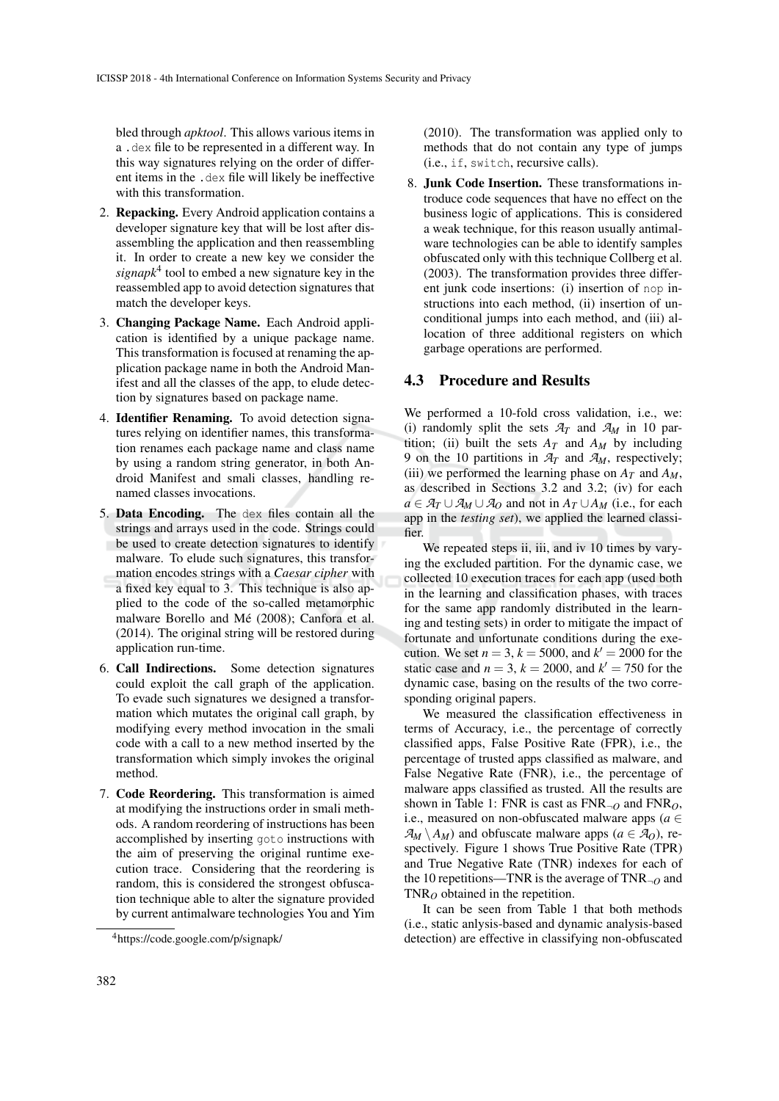bled through *apktool*. This allows various items in a .dex file to be represented in a different way. In this way signatures relying on the order of different items in the .dex file will likely be ineffective with this transformation.

- 2. Repacking. Every Android application contains a developer signature key that will be lost after disassembling the application and then reassembling it. In order to create a new key we consider the *signapk*<sup>4</sup> tool to embed a new signature key in the reassembled app to avoid detection signatures that match the developer keys.
- 3. Changing Package Name. Each Android application is identified by a unique package name. This transformation is focused at renaming the application package name in both the Android Manifest and all the classes of the app, to elude detection by signatures based on package name.
- 4. Identifier Renaming. To avoid detection signatures relying on identifier names, this transformation renames each package name and class name by using a random string generator, in both Android Manifest and smali classes, handling renamed classes invocations.
- 5. Data Encoding. The dex files contain all the strings and arrays used in the code. Strings could be used to create detection signatures to identify malware. To elude such signatures, this transformation encodes strings with a *Caesar cipher* with a fixed key equal to 3. This technique is also applied to the code of the so-called metamorphic malware Borello and Mé (2008); Canfora et al. (2014). The original string will be restored during application run-time.
- 6. Call Indirections. Some detection signatures could exploit the call graph of the application. To evade such signatures we designed a transformation which mutates the original call graph, by modifying every method invocation in the smali code with a call to a new method inserted by the transformation which simply invokes the original method.
- 7. Code Reordering. This transformation is aimed at modifying the instructions order in smali methods. A random reordering of instructions has been accomplished by inserting goto instructions with the aim of preserving the original runtime execution trace. Considering that the reordering is random, this is considered the strongest obfuscation technique able to alter the signature provided by current antimalware technologies You and Yim

(2010). The transformation was applied only to methods that do not contain any type of jumps (i.e., if, switch, recursive calls).

8. Junk Code Insertion. These transformations introduce code sequences that have no effect on the business logic of applications. This is considered a weak technique, for this reason usually antimalware technologies can be able to identify samples obfuscated only with this technique Collberg et al. (2003). The transformation provides three different junk code insertions: (i) insertion of nop instructions into each method, (ii) insertion of unconditional jumps into each method, and (iii) allocation of three additional registers on which garbage operations are performed.

#### 4.3 Procedure and Results

We performed a 10-fold cross validation, i.e., we: (i) randomly split the sets  $A_T$  and  $A_M$  in 10 partition; (ii) built the sets  $A_T$  and  $A_M$  by including 9 on the 10 partitions in  $A_T$  and  $A_M$ , respectively; (iii) we performed the learning phase on  $A_T$  and  $A_M$ , as described in Sections 3.2 and 3.2; (iv) for each *a* ∈  $A_T \cup A_M \cup A_O$  and not in  $A_T \cup A_M$  (i.e., for each app in the *testing set*), we applied the learned classifier.

We repeated steps ii, iii, and iv 10 times by varying the excluded partition. For the dynamic case, we collected 10 execution traces for each app (used both in the learning and classification phases, with traces for the same app randomly distributed in the learning and testing sets) in order to mitigate the impact of fortunate and unfortunate conditions during the execution. We set  $n = 3$ ,  $k = 5000$ , and  $k' = 2000$  for the static case and  $n = 3$ ,  $k = 2000$ , and  $k' = 750$  for the dynamic case, basing on the results of the two corresponding original papers.

We measured the classification effectiveness in terms of Accuracy, i.e., the percentage of correctly classified apps, False Positive Rate (FPR), i.e., the percentage of trusted apps classified as malware, and False Negative Rate (FNR), i.e., the percentage of malware apps classified as trusted. All the results are shown in Table 1: FNR is cast as  $FNR_{\neg Q}$  and  $FNR_{Q}$ , i.e., measured on non-obfuscated malware apps ( $a \in$  $\mathcal{A}_M \setminus A_M$ ) and obfuscate malware apps ( $a \in \mathcal{A}_O$ ), respectively. Figure 1 shows True Positive Rate (TPR) and True Negative Rate (TNR) indexes for each of the 10 repetitions—TNR is the average of  $TNR_{-Q}$  and  $TNR<sub>O</sub>$  obtained in the repetition.

It can be seen from Table 1 that both methods (i.e., static anlysis-based and dynamic analysis-based detection) are effective in classifying non-obfuscated

<sup>4</sup>https://code.google.com/p/signapk/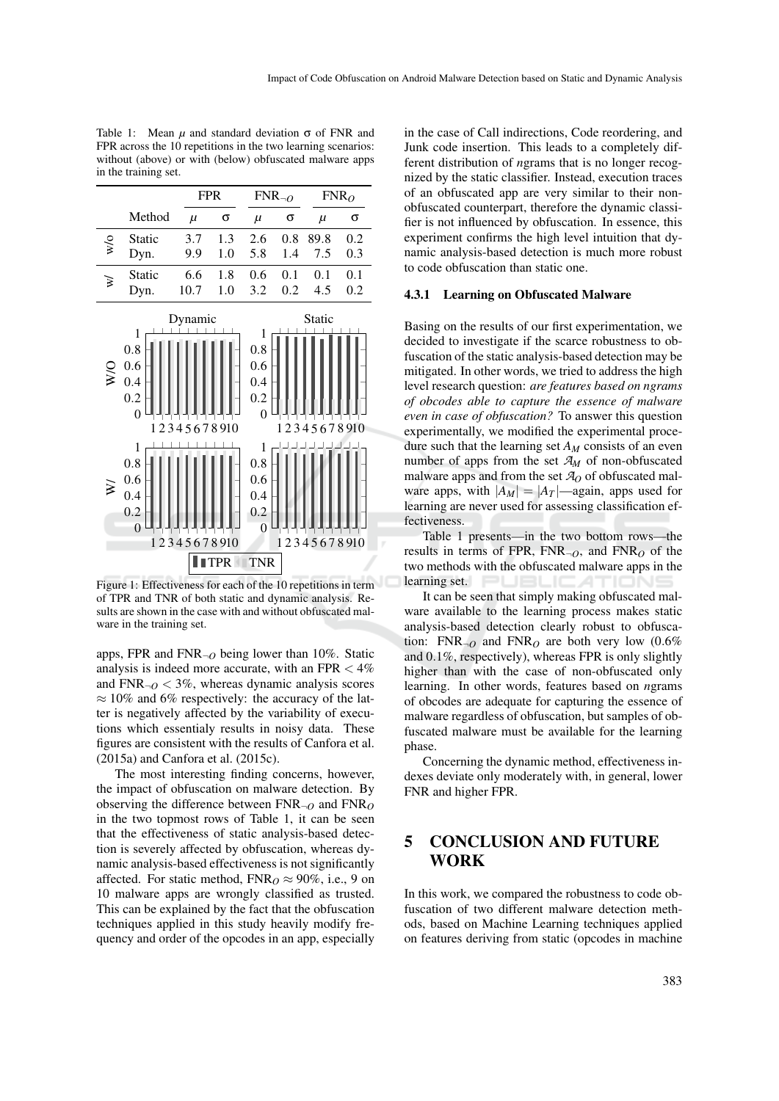|                  |                                    |             | <b>FPR</b> |                                           | $FNR_{\neg O}$ |             | $FNR_O$ |  |
|------------------|------------------------------------|-------------|------------|-------------------------------------------|----------------|-------------|---------|--|
|                  | Method                             | $\mu$       | σ          | $\mu$                                     | σ              | $\mu$       | σ       |  |
| $w$ o            | Static                             | 3.7         | 1.3        | 2.6                                       | 0.8            | 89.8        | 0.2     |  |
|                  | Dyn.                               | 9.9         | 1.0        | 5.8                                       | 1.4            | 7.5         | 0.3     |  |
| ₹                | Static                             | 6.6         | 1.8        | 0.6                                       | 0.1            | 0.1         | 0.1     |  |
|                  | Dyn.                               | 10.7        | 1.0        | 3.2                                       | 0.2            | 4.5         | 0.2     |  |
|                  |                                    | Dynamic     |            |                                           | Static         |             |         |  |
| $\sum_{i=1}^{n}$ | 1<br>0.8<br>0.6<br>0.4<br>0.2<br>0 | 12345678910 |            | 1<br>0.8<br>0.6<br>0.4<br>0.2<br>$\theta$ |                | 12345678910 |         |  |
| ≅                | 1<br>0.8<br>0.6<br>0.4<br>0.2<br>∩ |             |            | 1<br>0.8<br>0.6<br>0.4<br>0.2<br>$\Omega$ |                |             |         |  |

Table 1: Mean  $\mu$  and standard deviation  $\sigma$  of FNR and FPR across the 10 repetitions in the two learning scenarios: without (above) or with (below) obfuscated malware apps in the training set.

Figure 1: Effectiveness for each of the 10 repetitions in term of TPR and TNR of both static and dynamic analysis. Results are shown in the case with and without obfuscated malware in the training set.

**I**ITPR TNR

1 2 3 4 5 6 7 8 910 0 LLLLLLLLL0

1 2 3 4 5 6 7 8 910

apps, FPR and  $FNR_{\neg O}$  being lower than 10%. Static analysis is indeed more accurate, with an FPR  $< 4\%$ and  $FNR_{\neg Q}$  < 3%, whereas dynamic analysis scores  $\approx 10\%$  and 6% respectively: the accuracy of the latter is negatively affected by the variability of executions which essentialy results in noisy data. These figures are consistent with the results of Canfora et al. (2015a) and Canfora et al. (2015c).

The most interesting finding concerns, however, the impact of obfuscation on malware detection. By observing the difference between FNR¬*<sup>O</sup>* and FNR*<sup>O</sup>* in the two topmost rows of Table 1, it can be seen that the effectiveness of static analysis-based detection is severely affected by obfuscation, whereas dynamic analysis-based effectiveness is not significantly affected. For static method,  $FNR<sub>O</sub> \approx 90\%$ , i.e., 9 on 10 malware apps are wrongly classified as trusted. This can be explained by the fact that the obfuscation techniques applied in this study heavily modify frequency and order of the opcodes in an app, especially in the case of Call indirections, Code reordering, and Junk code insertion. This leads to a completely different distribution of *n*grams that is no longer recognized by the static classifier. Instead, execution traces of an obfuscated app are very similar to their nonobfuscated counterpart, therefore the dynamic classifier is not influenced by obfuscation. In essence, this experiment confirms the high level intuition that dynamic analysis-based detection is much more robust to code obfuscation than static one.

#### 4.3.1 Learning on Obfuscated Malware

Basing on the results of our first experimentation, we decided to investigate if the scarce robustness to obfuscation of the static analysis-based detection may be mitigated. In other words, we tried to address the high level research question: *are features based on ngrams of obcodes able to capture the essence of malware even in case of obfuscation?* To answer this question experimentally, we modified the experimental procedure such that the learning set *A<sup>M</sup>* consists of an even number of apps from the set  $A_M$  of non-obfuscated malware apps and from the set  $A<sub>O</sub>$  of obfuscated malware apps, with  $|A_M| = |A_T|$ —again, apps used for learning are never used for assessing classification effectiveness.

Table 1 presents—in the two bottom rows—the results in terms of FPR, FNR $_{\neg O}$ , and FNR<sub>*O*</sub> of the two methods with the obfuscated malware apps in the learning set. **I I I I I I I I** 

It can be seen that simply making obfuscated malware available to the learning process makes static analysis-based detection clearly robust to obfuscation:  $FNR_{\alpha}$  and  $FNR_{\alpha}$  are both very low (0.6%) and 0.1%, respectively), whereas FPR is only slightly higher than with the case of non-obfuscated only learning. In other words, features based on *n*grams of obcodes are adequate for capturing the essence of malware regardless of obfuscation, but samples of obfuscated malware must be available for the learning phase.

Concerning the dynamic method, effectiveness indexes deviate only moderately with, in general, lower FNR and higher FPR.

## 5 CONCLUSION AND FUTURE WORK

In this work, we compared the robustness to code obfuscation of two different malware detection methods, based on Machine Learning techniques applied on features deriving from static (opcodes in machine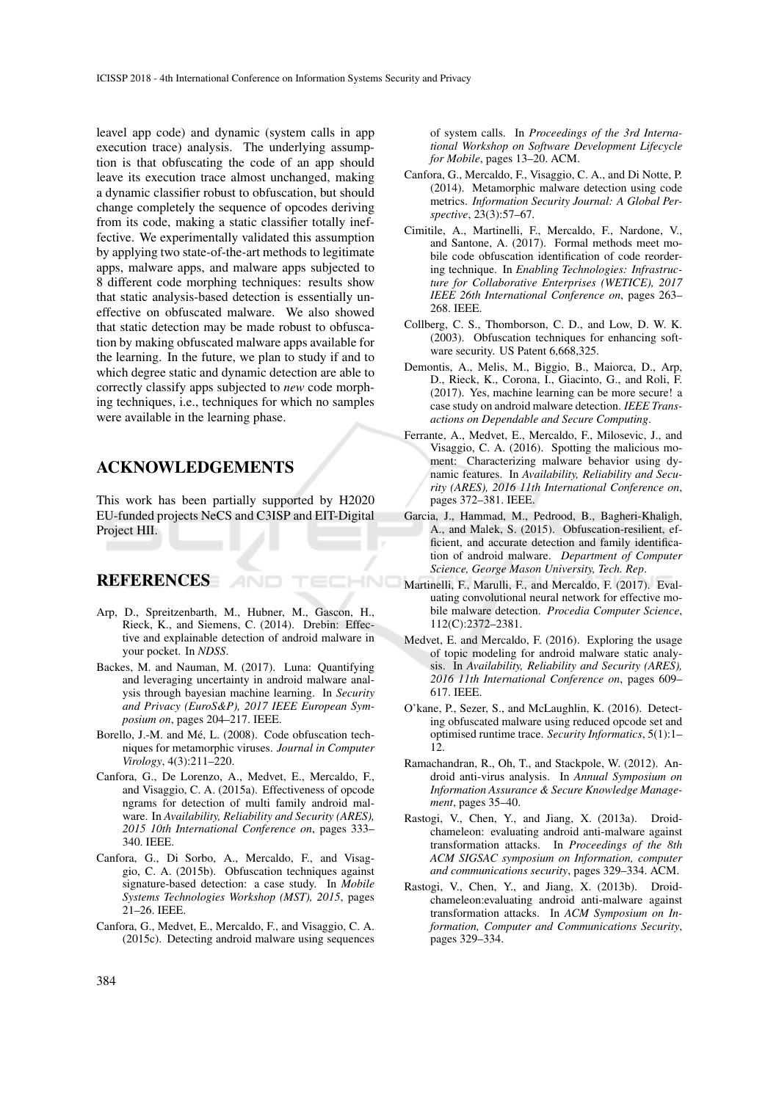leavel app code) and dynamic (system calls in app execution trace) analysis. The underlying assumption is that obfuscating the code of an app should leave its execution trace almost unchanged, making a dynamic classifier robust to obfuscation, but should change completely the sequence of opcodes deriving from its code, making a static classifier totally ineffective. We experimentally validated this assumption by applying two state-of-the-art methods to legitimate apps, malware apps, and malware apps subjected to 8 different code morphing techniques: results show that static analysis-based detection is essentially uneffective on obfuscated malware. We also showed that static detection may be made robust to obfuscation by making obfuscated malware apps available for the learning. In the future, we plan to study if and to which degree static and dynamic detection are able to correctly classify apps subjected to *new* code morphing techniques, i.e., techniques for which no samples were available in the learning phase.

### ACKNOWLEDGEMENTS

This work has been partially supported by H2020 EU-funded projects NeCS and C3ISP and EIT-Digital Project HII.

#### REFERENCES AND

Arp, D., Spreitzenbarth, M., Hubner, M., Gascon, H., Rieck, K., and Siemens, C. (2014). Drebin: Effective and explainable detection of android malware in your pocket. In *NDSS*.

ECHNO

- Backes, M. and Nauman, M. (2017). Luna: Quantifying and leveraging uncertainty in android malware analysis through bayesian machine learning. In *Security and Privacy (EuroS&P), 2017 IEEE European Symposium on*, pages 204–217. IEEE.
- Borello, J.-M. and Mé, L. (2008). Code obfuscation techniques for metamorphic viruses. *Journal in Computer Virology*, 4(3):211–220.
- Canfora, G., De Lorenzo, A., Medvet, E., Mercaldo, F., and Visaggio, C. A. (2015a). Effectiveness of opcode ngrams for detection of multi family android malware. In *Availability, Reliability and Security (ARES), 2015 10th International Conference on*, pages 333– 340. IEEE.
- Canfora, G., Di Sorbo, A., Mercaldo, F., and Visaggio, C. A. (2015b). Obfuscation techniques against signature-based detection: a case study. In *Mobile Systems Technologies Workshop (MST), 2015*, pages 21–26. IEEE.
- Canfora, G., Medvet, E., Mercaldo, F., and Visaggio, C. A. (2015c). Detecting android malware using sequences

of system calls. In *Proceedings of the 3rd International Workshop on Software Development Lifecycle for Mobile*, pages 13–20. ACM.

- Canfora, G., Mercaldo, F., Visaggio, C. A., and Di Notte, P. (2014). Metamorphic malware detection using code metrics. *Information Security Journal: A Global Perspective*, 23(3):57–67.
- Cimitile, A., Martinelli, F., Mercaldo, F., Nardone, V., and Santone, A. (2017). Formal methods meet mobile code obfuscation identification of code reordering technique. In *Enabling Technologies: Infrastructure for Collaborative Enterprises (WETICE), 2017 IEEE 26th International Conference on*, pages 263– 268. IEEE.
- Collberg, C. S., Thomborson, C. D., and Low, D. W. K. (2003). Obfuscation techniques for enhancing software security. US Patent 6,668,325.
- Demontis, A., Melis, M., Biggio, B., Maiorca, D., Arp, D., Rieck, K., Corona, I., Giacinto, G., and Roli, F. (2017). Yes, machine learning can be more secure! a case study on android malware detection. *IEEE Transactions on Dependable and Secure Computing*.
- Ferrante, A., Medvet, E., Mercaldo, F., Milosevic, J., and Visaggio, C. A. (2016). Spotting the malicious moment: Characterizing malware behavior using dynamic features. In *Availability, Reliability and Security (ARES), 2016 11th International Conference on*, pages 372–381. IEEE.
- Garcia, J., Hammad, M., Pedrood, B., Bagheri-Khaligh, A., and Malek, S. (2015). Obfuscation-resilient, efficient, and accurate detection and family identification of android malware. *Department of Computer Science, George Mason University, Tech. Rep*.
- Martinelli, F., Marulli, F., and Mercaldo, F. (2017). Evaluating convolutional neural network for effective mobile malware detection. *Procedia Computer Science*, 112(C):2372–2381.
- Medvet, E. and Mercaldo, F. (2016). Exploring the usage of topic modeling for android malware static analysis. In *Availability, Reliability and Security (ARES), 2016 11th International Conference on*, pages 609– 617. IEEE.
- O'kane, P., Sezer, S., and McLaughlin, K. (2016). Detecting obfuscated malware using reduced opcode set and optimised runtime trace. *Security Informatics*, 5(1):1– 12.
- Ramachandran, R., Oh, T., and Stackpole, W. (2012). Android anti-virus analysis. In *Annual Symposium on Information Assurance & Secure Knowledge Management*, pages 35–40.
- Rastogi, V., Chen, Y., and Jiang, X. (2013a). Droidchameleon: evaluating android anti-malware against transformation attacks. In *Proceedings of the 8th ACM SIGSAC symposium on Information, computer and communications security*, pages 329–334. ACM.
- Rastogi, V., Chen, Y., and Jiang, X. (2013b). Droidchameleon:evaluating android anti-malware against transformation attacks. In *ACM Symposium on Information, Computer and Communications Security*, pages 329–334.